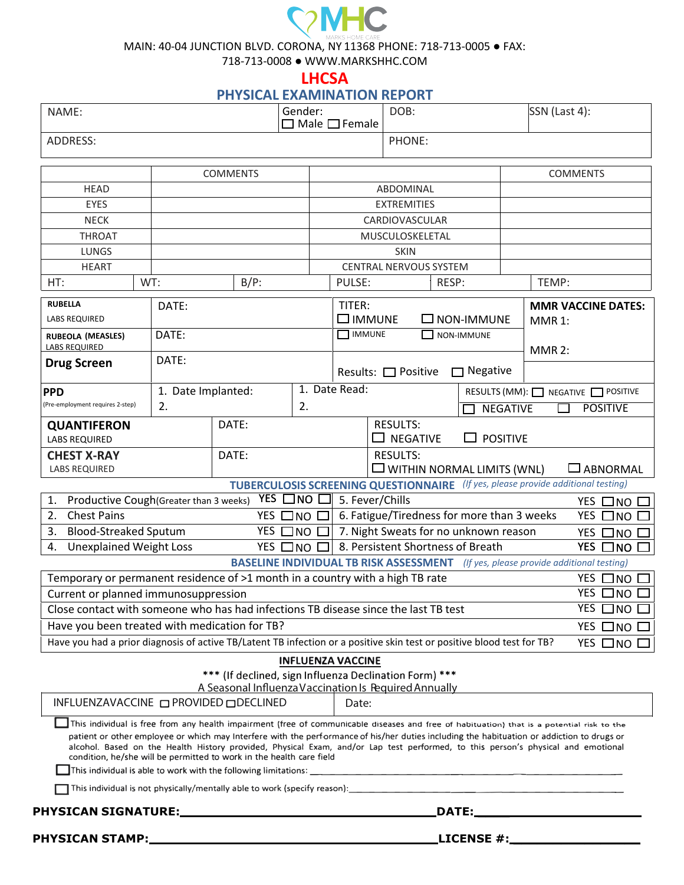## **C<sub>2</sub>MHC**

MAIN: 40-04 JUNCTION BLVD. CORONA, NY 11368 PHONE: 718-713-0005 ● FAX:

718-713-0008 ● WWW.MARKSHHC.COM

**LHCSA**

**PHYSICAL EXAMINATION REPORT** 

| NAME:                                                                                                                                                                                                                                                                                                                                                                                                                                                                                                |                    | Gender:                                                | $\Box$ Male $\Box$ Female |                                       | DOB:                      |                        | SSN (Last 4):                        |               |                                                                                           |
|------------------------------------------------------------------------------------------------------------------------------------------------------------------------------------------------------------------------------------------------------------------------------------------------------------------------------------------------------------------------------------------------------------------------------------------------------------------------------------------------------|--------------------|--------------------------------------------------------|---------------------------|---------------------------------------|---------------------------|------------------------|--------------------------------------|---------------|-------------------------------------------------------------------------------------------|
| ADDRESS:                                                                                                                                                                                                                                                                                                                                                                                                                                                                                             |                    |                                                        |                           |                                       | PHONE:                    |                        |                                      |               |                                                                                           |
|                                                                                                                                                                                                                                                                                                                                                                                                                                                                                                      |                    | <b>COMMENTS</b>                                        |                           |                                       |                           |                        |                                      |               | <b>COMMENTS</b>                                                                           |
| <b>HEAD</b>                                                                                                                                                                                                                                                                                                                                                                                                                                                                                          |                    |                                                        |                           |                                       | ABDOMINAL                 |                        |                                      |               |                                                                                           |
| <b>EYES</b>                                                                                                                                                                                                                                                                                                                                                                                                                                                                                          |                    |                                                        |                           |                                       | <b>EXTREMITIES</b>        |                        |                                      |               |                                                                                           |
| <b>NECK</b>                                                                                                                                                                                                                                                                                                                                                                                                                                                                                          |                    |                                                        |                           |                                       |                           |                        |                                      |               |                                                                                           |
|                                                                                                                                                                                                                                                                                                                                                                                                                                                                                                      |                    |                                                        |                           | CARDIOVASCULAR<br>MUSCULOSKELETAL     |                           |                        |                                      |               |                                                                                           |
| <b>THROAT</b><br><b>LUNGS</b>                                                                                                                                                                                                                                                                                                                                                                                                                                                                        |                    |                                                        | <b>SKIN</b>               |                                       |                           |                        |                                      |               |                                                                                           |
| <b>HEART</b>                                                                                                                                                                                                                                                                                                                                                                                                                                                                                         |                    |                                                        |                           |                                       |                           | CENTRAL NERVOUS SYSTEM |                                      |               |                                                                                           |
| HT:<br>WT:                                                                                                                                                                                                                                                                                                                                                                                                                                                                                           |                    | $B/P$ :                                                |                           | PULSE:                                |                           | RESP:                  |                                      | TEMP:         |                                                                                           |
|                                                                                                                                                                                                                                                                                                                                                                                                                                                                                                      |                    |                                                        |                           |                                       |                           |                        |                                      |               |                                                                                           |
| <b>RUBELLA</b>                                                                                                                                                                                                                                                                                                                                                                                                                                                                                       | DATE:<br>TITER:    |                                                        |                           |                                       | <b>MMR VACCINE DATES:</b> |                        |                                      |               |                                                                                           |
| <b>LABS REQUIRED</b>                                                                                                                                                                                                                                                                                                                                                                                                                                                                                 |                    |                                                        |                           | $\square$ immune<br><b>NON-IMMUNE</b> |                           |                        |                                      | <b>MMR 1:</b> |                                                                                           |
| <b>RUBEOLA (MEASLES)</b>                                                                                                                                                                                                                                                                                                                                                                                                                                                                             | DATE:              |                                                        |                           | <b>NUMUNE</b>                         |                           |                        | <b>NON-IMMUNE</b>                    |               |                                                                                           |
| <b>LABS REQUIRED</b>                                                                                                                                                                                                                                                                                                                                                                                                                                                                                 |                    |                                                        |                           |                                       |                           |                        |                                      | <b>MMR 2:</b> |                                                                                           |
| <b>Drug Screen</b>                                                                                                                                                                                                                                                                                                                                                                                                                                                                                   | DATE:              |                                                        |                           | Results: □ Positive                   |                           |                        | $\Box$ Negative                      |               |                                                                                           |
| <b>PPD</b>                                                                                                                                                                                                                                                                                                                                                                                                                                                                                           | 1. Date Implanted: |                                                        |                           | 1. Date Read:                         |                           |                        |                                      |               | RESULTS (MM): NEGATIVE POSITIVE                                                           |
| (Pre-employment requires 2-step)                                                                                                                                                                                                                                                                                                                                                                                                                                                                     | 2.                 |                                                        | 2.                        |                                       |                           |                        | <b>NEGATIVE</b>                      |               | <b>POSITIVE</b>                                                                           |
| <b>QUANTIFERON</b><br><b>LABS REQUIRED</b>                                                                                                                                                                                                                                                                                                                                                                                                                                                           |                    | DATE:                                                  |                           |                                       | <b>RESULTS:</b>           | <b>NEGATIVE</b>        | $\Box$ positive                      |               |                                                                                           |
| DATE:<br><b>CHEST X-RAY</b>                                                                                                                                                                                                                                                                                                                                                                                                                                                                          |                    |                                                        |                           |                                       | <b>RESULTS:</b>           |                        |                                      |               |                                                                                           |
| <b>LABS REQUIRED</b>                                                                                                                                                                                                                                                                                                                                                                                                                                                                                 |                    |                                                        |                           |                                       |                           |                        | $\square$ WITHIN NORMAL LIMITS (WNL) |               | $\square$ ABNORMAL                                                                        |
|                                                                                                                                                                                                                                                                                                                                                                                                                                                                                                      |                    |                                                        |                           |                                       |                           |                        |                                      |               |                                                                                           |
| <b>TUBERCULOSIS SCREENING QUESTIONNAIRE</b> (If yes, please provide additional testing)<br>$YES$ $\Box$ NO $\Box$<br>5. Fever/Chills                                                                                                                                                                                                                                                                                                                                                                 |                    |                                                        |                           |                                       |                           |                        |                                      |               |                                                                                           |
| 1.<br>Productive Cough(Greater than 3 weeks)<br>$YES$ $\Box$ NO $\Box$<br><b>Chest Pains</b><br>6. Fatigue/Tiredness for more than 3 weeks<br>2.<br>YES □NO D<br>YES □NO □                                                                                                                                                                                                                                                                                                                           |                    |                                                        |                           |                                       |                           |                        |                                      |               |                                                                                           |
| 7. Night Sweats for no unknown reason<br><b>Blood-Streaked Sputum</b><br>YES □NO □<br>3.                                                                                                                                                                                                                                                                                                                                                                                                             |                    |                                                        |                           | YES □NO □                             |                           |                        |                                      |               |                                                                                           |
| 8. Persistent Shortness of Breath<br>YES □NO □<br><b>Unexplained Weight Loss</b><br>YES □NO □<br>4.                                                                                                                                                                                                                                                                                                                                                                                                  |                    |                                                        |                           |                                       |                           |                        |                                      |               |                                                                                           |
|                                                                                                                                                                                                                                                                                                                                                                                                                                                                                                      |                    |                                                        |                           |                                       |                           |                        |                                      |               | <b>BASELINE INDIVIDUAL TB RISK ASSESSMENT</b> (If yes, please provide additional testing) |
|                                                                                                                                                                                                                                                                                                                                                                                                                                                                                                      |                    |                                                        |                           |                                       |                           |                        |                                      |               | YES □NO □                                                                                 |
| Temporary or permanent residence of >1 month in a country with a high TB rate<br>$\overline{Y}$ ES $\Box$ NO $\Box$<br>Current or planned immunosuppression                                                                                                                                                                                                                                                                                                                                          |                    |                                                        |                           |                                       |                           |                        |                                      |               |                                                                                           |
|                                                                                                                                                                                                                                                                                                                                                                                                                                                                                                      |                    |                                                        |                           |                                       |                           |                        |                                      |               |                                                                                           |
| YES $\Box$ NO $\Box$<br>Close contact with someone who has had infections TB disease since the last TB test                                                                                                                                                                                                                                                                                                                                                                                          |                    |                                                        |                           |                                       |                           |                        |                                      |               |                                                                                           |
| Have you been treated with medication for TB?<br>Have you had a prior diagnosis of active TB/Latent TB infection or a positive skin test or positive blood test for TB?                                                                                                                                                                                                                                                                                                                              |                    |                                                        |                           | $YES$ $\Box$ NO $\Box$                |                           |                        |                                      |               |                                                                                           |
|                                                                                                                                                                                                                                                                                                                                                                                                                                                                                                      |                    |                                                        |                           |                                       |                           |                        |                                      |               | YES $\square$ NO $\square$                                                                |
|                                                                                                                                                                                                                                                                                                                                                                                                                                                                                                      |                    |                                                        | <b>INFLUENZA VACCINE</b>  |                                       |                           |                        |                                      |               |                                                                                           |
|                                                                                                                                                                                                                                                                                                                                                                                                                                                                                                      |                    | *** (If declined, sign Influenza Declination Form) *** |                           |                                       |                           |                        |                                      |               |                                                                                           |
| A Seasonal Influenza Vaccination Is Required Annually                                                                                                                                                                                                                                                                                                                                                                                                                                                |                    |                                                        |                           |                                       |                           |                        |                                      |               |                                                                                           |
| INFLUENZAVACCINE □ PROVIDED □ DECLINED<br>Date:                                                                                                                                                                                                                                                                                                                                                                                                                                                      |                    |                                                        |                           |                                       |                           |                        |                                      |               |                                                                                           |
| This individual is free from any health impairment (free of communicable diseases and free of habituation) that is a potential risk to the<br>patient or other employee or which may Interfere with the performance of his/her duties including the habituation or addiction to drugs or<br>alcohol. Based on the Health History provided, Physical Exam, and/or Lap test performed, to this person's physical and emotional<br>condition, he/she will be permitted to work in the health care field |                    |                                                        |                           |                                       |                           |                        |                                      |               |                                                                                           |
| This individual is able to work with the following limitations: __                                                                                                                                                                                                                                                                                                                                                                                                                                   |                    |                                                        |                           |                                       |                           |                        |                                      |               |                                                                                           |
|                                                                                                                                                                                                                                                                                                                                                                                                                                                                                                      |                    |                                                        |                           |                                       |                           |                        |                                      |               |                                                                                           |
|                                                                                                                                                                                                                                                                                                                                                                                                                                                                                                      |                    |                                                        |                           |                                       |                           |                        |                                      |               |                                                                                           |
|                                                                                                                                                                                                                                                                                                                                                                                                                                                                                                      |                    |                                                        |                           |                                       |                           |                        |                                      |               |                                                                                           |
|                                                                                                                                                                                                                                                                                                                                                                                                                                                                                                      |                    |                                                        |                           |                                       |                           |                        |                                      |               |                                                                                           |